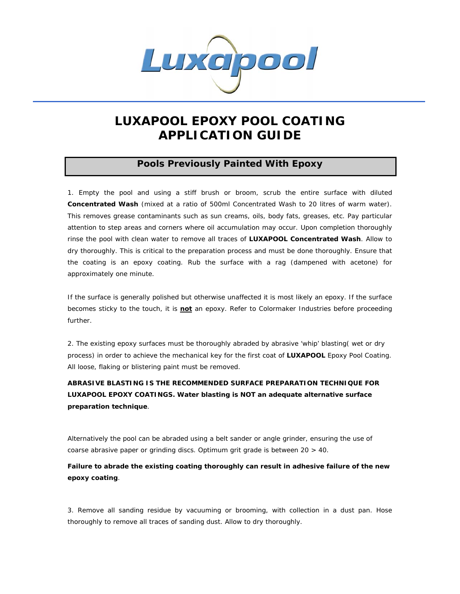

# **LUXAPOOL EPOXY POOL COATING APPLICATION GUIDE**

## **Pools Previously Painted With Epoxy**

1. Empty the pool and using a stiff brush or broom, scrub the entire surface with diluted **Concentrated Wash** (mixed at a ratio of 500ml Concentrated Wash to 20 litres of warm water). This removes grease contaminants such as sun creams, oils, body fats, greases, etc. Pay particular attention to step areas and corners where oil accumulation may occur. Upon completion thoroughly rinse the pool with clean water to remove all traces of **LUXAPOOL Concentrated Wash**. Allow to dry thoroughly. This is critical to the preparation process and must be done thoroughly. Ensure that the coating is an epoxy coating. Rub the surface with a rag (dampened with acetone) for approximately one minute.

If the surface is generally polished but otherwise unaffected it is most likely an epoxy. If the surface becomes sticky to the touch, it is *not* an epoxy. Refer to Colormaker Industries before proceeding further.

2. The existing epoxy surfaces must be thoroughly abraded by abrasive 'whip' blasting( wet or dry process) in order to achieve the mechanical key for the first coat of **LUXAPOOL** Epoxy Pool Coating. All loose, flaking or blistering paint must be removed.

**ABRASIVE BLASTING IS THE RECOMMENDED SURFACE PREPARATION TECHNIQUE FOR LUXAPOOL EPOXY COATINGS. Water blasting is NOT an adequate alternative surface preparation technique**.

Alternatively the pool can be abraded using a belt sander or angle grinder, ensuring the use of coarse abrasive paper or grinding discs. Optimum grit grade is between 20 > 40.

**Failure to abrade the existing coating thoroughly can result in adhesive failure of the new epoxy coating**.

3. Remove all sanding residue by vacuuming or brooming, with collection in a dust pan. Hose thoroughly to remove all traces of sanding dust. Allow to dry thoroughly.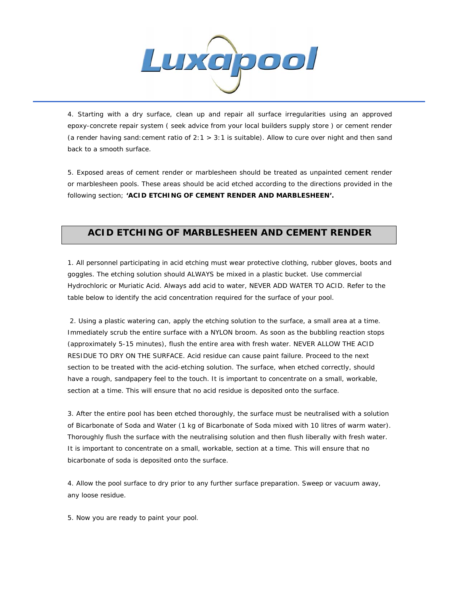

4. Starting with a dry surface, clean up and repair all surface irregularities using an approved epoxy-concrete repair system ( seek advice from your local builders supply store ) or cement render (a render having sand:cement ratio of 2:1 > 3:1 is suitable). Allow to cure over night and then sand back to a smooth surface.

5. Exposed areas of cement render or marblesheen should be treated as unpainted cement render or marblesheen pools. These areas should be acid etched according to the directions provided in the following section; **'ACID ETCHING OF CEMENT RENDER AND MARBLESHEEN'.**

## **ACID ETCHING OF MARBLESHEEN AND CEMENT RENDER**

1. All personnel participating in acid etching must wear protective clothing, rubber gloves, boots and goggles. The etching solution should ALWAYS be mixed in a plastic bucket. Use commercial Hydrochloric or Muriatic Acid. Always add acid to water, NEVER ADD WATER TO ACID. Refer to the table below to identify the acid concentration required for the surface of your pool.

 2. Using a plastic watering can, apply the etching solution to the surface, a small area at a time. Immediately scrub the entire surface with a NYLON broom. As soon as the bubbling reaction stops (approximately 5-15 minutes), flush the entire area with fresh water. NEVER ALLOW THE ACID RESIDUE TO DRY ON THE SURFACE. Acid residue can cause paint failure. Proceed to the next section to be treated with the acid-etching solution. The surface, when etched correctly, should have a rough, sandpapery feel to the touch. *It is important to concentrate on a small, workable, section at a time. This will ensure that no acid residue is deposited onto the surface.* 

3. After the entire pool has been etched thoroughly, the surface must be neutralised with a solution of Bicarbonate of Soda and Water (1 kg of Bicarbonate of Soda mixed with 10 litres of warm water). Thoroughly flush the surface with the neutralising solution and then flush liberally with fresh water. *It is important to concentrate on a small, workable, section at a time. This will ensure that no bicarbonate of soda is deposited onto the surface.* 

4. Allow the pool surface to dry prior to any further surface preparation. Sweep or vacuum away, any loose residue.

5. Now you are ready to paint your pool.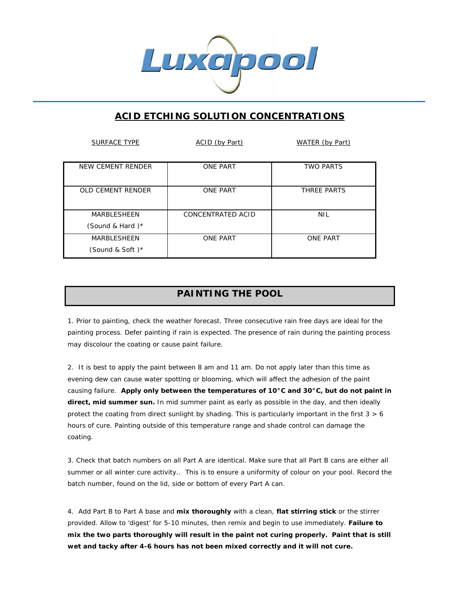

## **ACID ETCHING SOLUTION CONCENTRATIONS**

j

| <b>SURFACE TYPE</b>                      | ACID (by Part)    | WATER (by Part)  |
|------------------------------------------|-------------------|------------------|
| <b>NEW CEMENT RENDER</b>                 | <b>ONE PART</b>   | <b>TWO PARTS</b> |
| OLD CEMENT RENDER                        | <b>ONE PART</b>   | THREE PARTS      |
| <b>MARBLESHEEN</b><br>(Sound & Hard) $*$ | CONCENTRATED ACID | <b>NIL</b>       |
| <b>MARBLESHEEN</b><br>(Sound & Soft)*    | <b>ONE PART</b>   | <b>ONE PART</b>  |

## **PAINTING THE POOL**

1. Prior to painting, check the weather forecast. Three consecutive rain free days are ideal for the painting process. Defer painting if rain is expected. The presence of rain during the painting process may discolour the coating or cause paint failure.

2. It is best to apply the paint between 8 am and 11 am. *Do not apply later than this time as evening dew can cause water spotting or blooming, which will affect the adhesion of the paint causing failure.* **Apply only between the temperatures of 10°C and 30°C, but do not paint in direct, mid summer sun.** In mid summer paint as early as possible in the day, and then ideally protect the coating from direct sunlight by shading. This is particularly important in the first  $3 > 6$ hours of cure. Painting outside of this temperature range and shade control can damage the coating.

3. Check that batch numbers on all Part A are identical. Make sure that all Part B cans are either all summer or all winter cure activity.. This is to ensure a uniformity of colour on your pool. Record the batch number, found on the lid, side or bottom of every Part A can.

4. Add Part B to Part A base and **mix thoroughly** with a clean, **flat stirring stick** or the stirrer provided. Allow to 'digest' for 5-10 minutes, then remix and begin to use immediately. *Failure to mix the two parts thoroughly will result in the paint not curing properly***.** *Paint that is still wet and tacky after 4-6 hours has not been mixed correctly and it will not cure.*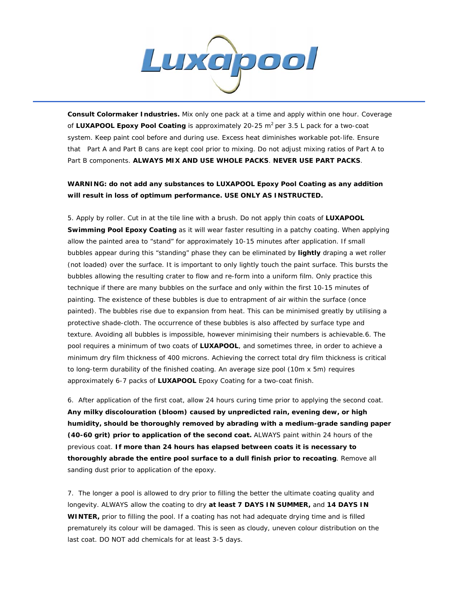

*Consult Colormaker Industries.* Mix only one pack at a time and apply within one hour. Coverage of **LUXAPOOL Epoxy Pool Coating** is approximately 20-25 m<sup>2</sup> per 3.5 L pack for a two-coat system. Keep paint cool before and during use. Excess heat diminishes workable pot-life. Ensure that Part A and Part B cans are kept cool prior to mixing. Do not adjust mixing ratios of Part A to Part B components. **ALWAYS MIX AND USE WHOLE PACKS**. **NEVER USE PART PACKS**.

### **WARNING: do not add any substances to LUXAPOOL Epoxy Pool Coating as any addition will result in loss of optimum performance. USE ONLY AS INSTRUCTED.**

5. Apply by roller. Cut in at the tile line with a brush. Do not apply thin coats of **LUXAPOOL Swimming Pool Epoxy Coating** as it will wear faster resulting in a patchy coating. When applying allow the painted area to "stand" for approximately 10-15 minutes after application. If small bubbles appear during this "standing" phase they can be eliminated by *lightly* draping a wet roller (not loaded) over the surface. It is important to only lightly touch the paint surface. This bursts the bubbles allowing the resulting crater to flow and re-form into a uniform film. Only practice this technique if there are many bubbles on the surface and only within the first 10-15 minutes of painting. The existence of these bubbles is due to entrapment of air within the surface (once painted). The bubbles rise due to expansion from heat. This can be minimised greatly by utilising a protective shade-cloth. The occurrence of these bubbles is also affected by surface type and texture. Avoiding all bubbles is impossible, however minimising their numbers is achievable.6. The pool requires a minimum of two coats of **LUXAPOOL**, and sometimes three, in order to achieve a minimum dry film thickness of 400 microns. Achieving the correct total dry film thickness is critical to long-term durability of the finished coating. An average size pool (10m x 5m) requires approximately 6-7 packs of **LUXAPOOL** Epoxy Coating for a two-coat finish.

6. After application of the first coat, allow 24 hours curing time prior to applying the second coat. **Any milky discolouration (bloom) caused by unpredicted rain, evening dew, or high humidity, should be thoroughly removed by abrading with a medium-grade sanding paper (40-60 grit) prior to application of the second coat.** ALWAYS paint within 24 hours of the previous coat. **If more than 24 hours has elapsed between coats it is necessary to thoroughly abrade the entire pool surface to a dull finish prior to recoating***.* Remove all sanding dust prior to application of the epoxy.

7. The longer a pool is allowed to dry prior to filling the better the ultimate coating quality and longevity. ALWAYS allow the coating to dry **at least 7 DAYS IN SUMMER,** and **14 DAYS IN WINTER,** prior to filling the pool. If a coating has not had adequate drying time and is filled prematurely its colour will be damaged. This is seen as cloudy, uneven colour distribution on the last coat. DO NOT add chemicals for at least 3-5 days.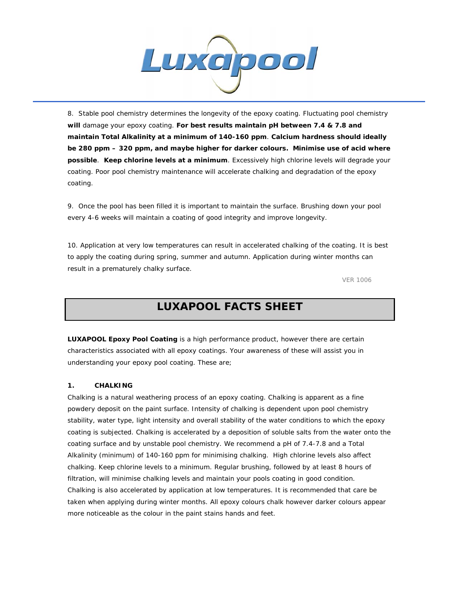

8. Stable pool chemistry determines the longevity of the epoxy coating. Fluctuating pool chemistry **will** damage your epoxy coating. **For best results maintain pH between 7.4 & 7.8 and maintain Total Alkalinity at a minimum of 140-160 ppm**. **Calcium hardness should ideally be 280 ppm – 320 ppm, and maybe higher for darker colours. Minimise use of acid where possible**. **Keep chlorine levels at a minimum**. Excessively high chlorine levels will degrade your coating. Poor pool chemistry maintenance will accelerate chalking and degradation of the epoxy coating.

9. Once the pool has been filled it is important to maintain the surface. Brushing down your pool every 4-6 weeks will maintain a coating of good integrity and improve longevity.

10. Application at very low temperatures can result in accelerated chalking of the coating. It is best to apply the coating during spring, summer and autumn. Application during winter months can result in a prematurely chalky surface.

VER 1006

## **LUXAPOOL FACTS SHEET**

**LUXAPOOL Epoxy Pool Coating** is a high performance product, however there are certain characteristics associated with *all* epoxy coatings. Your awareness of these will assist you in understanding your epoxy pool coating. These are;

### **1. CHALKING**

Chalking is a natural weathering process of an epoxy coating. Chalking is apparent as a fine powdery deposit on the paint surface. Intensity of chalking is dependent upon pool chemistry stability, water type, light intensity and overall stability of the water conditions to which the epoxy coating is subjected. Chalking is accelerated by a deposition of soluble salts from the water onto the coating surface and by unstable pool chemistry. We recommend a pH of 7.4-7.8 and a Total Alkalinity (minimum) of 140-160 ppm for minimising chalking. High chlorine levels also affect chalking. Keep chlorine levels to a minimum. Regular brushing, followed by at least 8 hours of filtration, will minimise chalking levels and maintain your pools coating in good condition. Chalking is also accelerated by application at low temperatures. It is recommended that care be taken when applying during winter months. All epoxy colours chalk however darker colours appear more noticeable as the colour in the paint stains hands and feet.